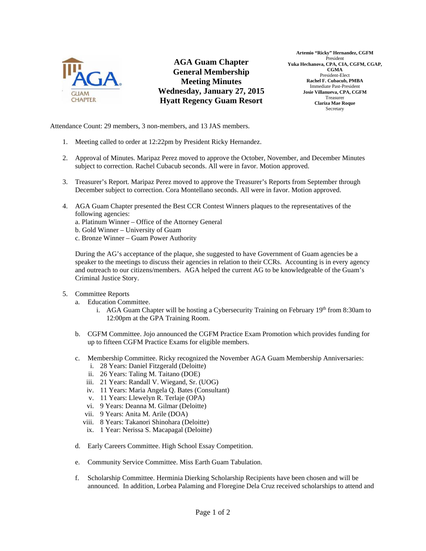

**AGA Guam Chapter General Membership Meeting Minutes Wednesday, January 27, 2015 Hyatt Regency Guam Resort** 

Attendance Count: 29 members, 3 non-members, and 13 JAS members.

- 1. Meeting called to order at 12:22pm by President Ricky Hernandez.
- 2. Approval of Minutes. Maripaz Perez moved to approve the October, November, and December Minutes subject to correction. Rachel Cubacub seconds. All were in favor. Motion approved.
- 3. Treasurer's Report. Maripaz Perez moved to approve the Treasurer's Reports from September through December subject to correction. Cora Montellano seconds. All were in favor. Motion approved.
- 4. AGA Guam Chapter presented the Best CCR Contest Winners plaques to the representatives of the following agencies:

a. Platinum Winner – Office of the Attorney General

- b. Gold Winner University of Guam
- c. Bronze Winner Guam Power Authority

During the AG's acceptance of the plaque, she suggested to have Government of Guam agencies be a speaker to the meetings to discuss their agencies in relation to their CCRs. Accounting is in every agency and outreach to our citizens/members. AGA helped the current AG to be knowledgeable of the Guam's Criminal Justice Story.

- 5. Committee Reports
	- a. Education Committee.
		- i. AGA Guam Chapter will be hosting a Cybersecurity Training on February 19th from 8:30am to 12:00pm at the GPA Training Room.
	- b. CGFM Committee. Jojo announced the CGFM Practice Exam Promotion which provides funding for up to fifteen CGFM Practice Exams for eligible members.
	- c. Membership Committee. Ricky recognized the November AGA Guam Membership Anniversaries:
		- i. 28 Years: Daniel Fitzgerald (Deloitte)
		- ii. 26 Years: Taling M. Taitano (DOE)
		- iii. 21 Years: Randall V. Wiegand, Sr. (UOG)
		- iv. 11 Years: Maria Angela Q. Bates (Consultant)
		- v. 11 Years: Llewelyn R. Terlaje (OPA)
		- vi. 9 Years: Deanna M. Gilmar (Deloitte)
		- vii. 9 Years: Anita M. Arile (DOA)
		- viii. 8 Years: Takanori Shinohara (Deloitte)
		- ix. 1 Year: Nerissa S. Macapagal (Deloitte)
	- d. Early Careers Committee. High School Essay Competition.
	- e. Community Service Committee. Miss Earth Guam Tabulation.
	- f. Scholarship Committee. Herminia Dierking Scholarship Recipients have been chosen and will be announced. In addition, Lorbea Palaming and Floregine Dela Cruz received scholarships to attend and